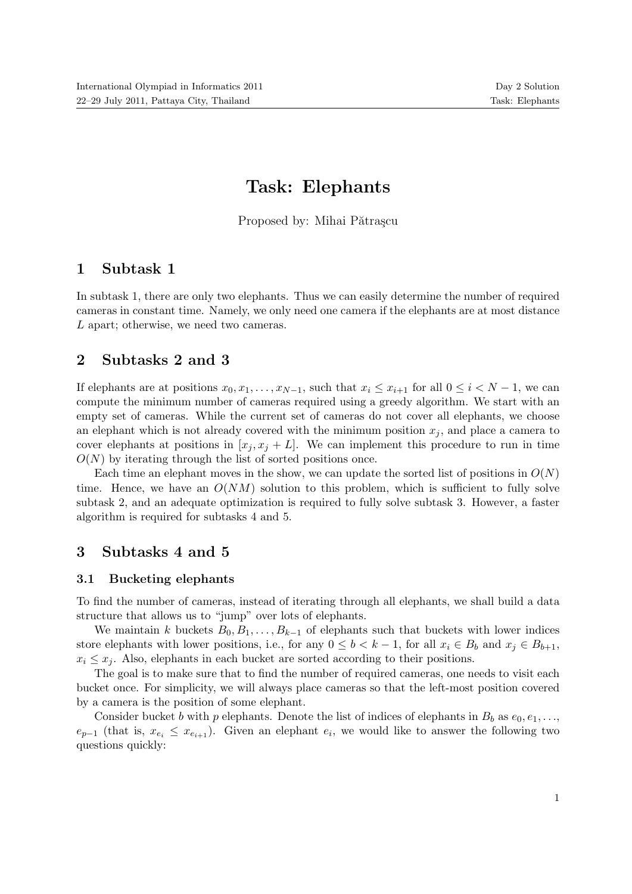# Task: Elephants

Proposed by: Mihai Pătrașcu

## 1 Subtask 1

In subtask 1, there are only two elephants. Thus we can easily determine the number of required cameras in constant time. Namely, we only need one camera if the elephants are at most distance L apart; otherwise, we need two cameras.

## 2 Subtasks 2 and 3

If elephants are at positions  $x_0, x_1, \ldots, x_{N-1}$ , such that  $x_i \leq x_{i+1}$  for all  $0 \leq i < N-1$ , we can compute the minimum number of cameras required using a greedy algorithm. We start with an empty set of cameras. While the current set of cameras do not cover all elephants, we choose an elephant which is not already covered with the minimum position  $x_i$ , and place a camera to cover elephants at positions in  $[x_j, x_j + L]$ . We can implement this procedure to run in time  $O(N)$  by iterating through the list of sorted positions once.

Each time an elephant moves in the show, we can update the sorted list of positions in  $O(N)$ time. Hence, we have an  $O(NM)$  solution to this problem, which is sufficient to fully solve subtask 2, and an adequate optimization is required to fully solve subtask 3. However, a faster algorithm is required for subtasks 4 and 5.

## 3 Subtasks 4 and 5

#### 3.1 Bucketing elephants

To find the number of cameras, instead of iterating through all elephants, we shall build a data structure that allows us to "jump" over lots of elephants.

We maintain k buckets  $B_0, B_1, \ldots, B_{k-1}$  of elephants such that buckets with lower indices store elephants with lower positions, i.e., for any  $0 \leq b < k - 1$ , for all  $x_i \in B_b$  and  $x_j \in B_{b+1}$ ,  $x_i \leq x_j$ . Also, elephants in each bucket are sorted according to their positions.

The goal is to make sure that to find the number of required cameras, one needs to visit each bucket once. For simplicity, we will always place cameras so that the left-most position covered by a camera is the position of some elephant.

Consider bucket b with p elephants. Denote the list of indices of elephants in  $B_b$  as  $e_0, e_1, \ldots$ ,  $e_{p-1}$  (that is,  $x_{e_i} \leq x_{e_{i+1}}$ ). Given an elephant  $e_i$ , we would like to answer the following two questions quickly: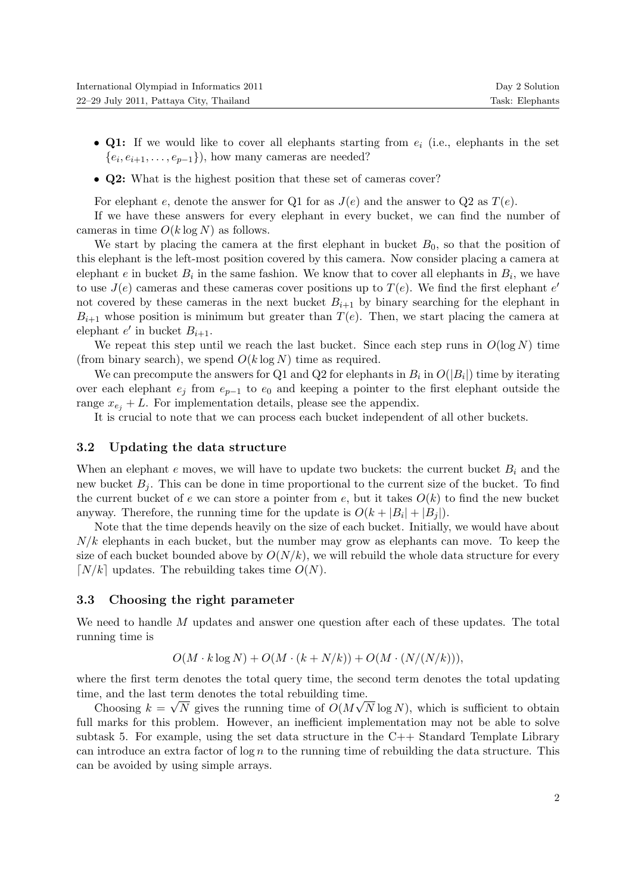- Q1: If we would like to cover all elephants starting from  $e_i$  (i.e., elephants in the set  $\{e_i, e_{i+1}, \ldots, e_{p-1}\}\)$ , how many cameras are needed?
- Q2: What is the highest position that these set of cameras cover?

For elephant e, denote the answer for Q1 for as  $J(e)$  and the answer to Q2 as  $T(e)$ .

If we have these answers for every elephant in every bucket, we can find the number of cameras in time  $O(k \log N)$  as follows.

We start by placing the camera at the first elephant in bucket  $B_0$ , so that the position of this elephant is the left-most position covered by this camera. Now consider placing a camera at elephant e in bucket  $B_i$  in the same fashion. We know that to cover all elephants in  $B_i$ , we have to use  $J(e)$  cameras and these cameras cover positions up to  $T(e)$ . We find the first elephant e' not covered by these cameras in the next bucket  $B_{i+1}$  by binary searching for the elephant in  $B_{i+1}$  whose position is minimum but greater than  $T(e)$ . Then, we start placing the camera at elephant  $e'$  in bucket  $B_{i+1}$ .

We repeat this step until we reach the last bucket. Since each step runs in  $O(\log N)$  time (from binary search), we spend  $O(k \log N)$  time as required.

We can precompute the answers for Q1 and Q2 for elephants in  $B_i$  in  $O(|B_i|)$  time by iterating over each elephant  $e_i$  from  $e_{p-1}$  to  $e_0$  and keeping a pointer to the first elephant outside the range  $x_{e_i} + L$ . For implementation details, please see the appendix.

It is crucial to note that we can process each bucket independent of all other buckets.

#### 3.2 Updating the data structure

When an elephant  $e$  moves, we will have to update two buckets: the current bucket  $B_i$  and the new bucket  $B_i$ . This can be done in time proportional to the current size of the bucket. To find the current bucket of e we can store a pointer from e, but it takes  $O(k)$  to find the new bucket anyway. Therefore, the running time for the update is  $O(k + |B_i| + |B_j|)$ .

Note that the time depends heavily on the size of each bucket. Initially, we would have about  $N/k$  elephants in each bucket, but the number may grow as elephants can move. To keep the size of each bucket bounded above by  $O(N/k)$ , we will rebuild the whole data structure for every  $\lceil N/k \rceil$  updates. The rebuilding takes time  $O(N)$ .

#### 3.3 Choosing the right parameter

We need to handle M updates and answer one question after each of these updates. The total running time is

$$
O(M \cdot k \log N) + O(M \cdot (k + N/k)) + O(M \cdot (N/(N/k))),
$$

where the first term denotes the total query time, the second term denotes the total updating time, and the last term denotes the total rebuilding time.

Choosing  $k = \sqrt{N}$  gives the running time of  $O(M\sqrt{N}\log N)$ , which is sufficient to obtain full marks for this problem. However, an inefficient implementation may not be able to solve subtask 5. For example, using the set data structure in the C++ Standard Template Library can introduce an extra factor of log n to the running time of rebuilding the data structure. This can be avoided by using simple arrays.